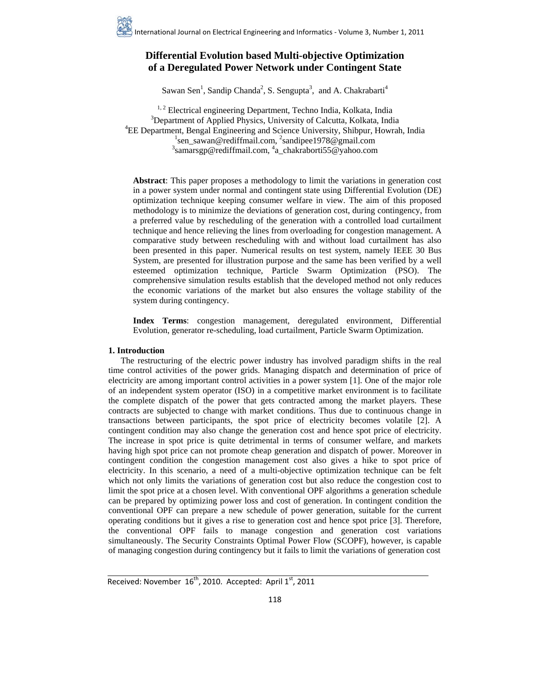# **Differential Evolution based Multi-objective Optimization of a Deregulated Power Network under Contingent State**

Sawan Sen<sup>1</sup>, Sandip Chanda<sup>2</sup>, S. Sengupta<sup>3</sup>, and A. Chakrabarti<sup>4</sup>

<sup>1, 2</sup> Electrical engineering Department, Techno India, Kolkata, India <sup>3</sup>Department of Applied Physics, University of Calcutta, Kolkata, India <sup>4</sup>EE Department, Bengal Engineering and Science University, Shibpur, Howrah, India <sup>1</sup>sen\_sawan@rediffmail.com, <sup>2</sup>sandipee1978@gmail.com samarsgp@rediffmail.com, 4 a\_chakraborti55@yahoo.com

**Abstract**: This paper proposes a methodology to limit the variations in generation cost in a power system under normal and contingent state using Differential Evolution (DE) optimization technique keeping consumer welfare in view. The aim of this proposed methodology is to minimize the deviations of generation cost, during contingency, from a preferred value by rescheduling of the generation with a controlled load curtailment technique and hence relieving the lines from overloading for congestion management. A comparative study between rescheduling with and without load curtailment has also been presented in this paper. Numerical results on test system, namely IEEE 30 Bus System, are presented for illustration purpose and the same has been verified by a well esteemed optimization technique, Particle Swarm Optimization (PSO). The comprehensive simulation results establish that the developed method not only reduces the economic variations of the market but also ensures the voltage stability of the system during contingency.

**Index Terms**: congestion management, deregulated environment, Differential Evolution, generator re-scheduling, load curtailment, Particle Swarm Optimization.

# **1. Introduction**

 The restructuring of the electric power industry has involved paradigm shifts in the real time control activities of the power grids. Managing dispatch and determination of price of electricity are among important control activities in a power system [1]. One of the major role of an independent system operator (ISO) in a competitive market environment is to facilitate the complete dispatch of the power that gets contracted among the market players. These contracts are subjected to change with market conditions. Thus due to continuous change in transactions between participants, the spot price of electricity becomes volatile [2]. A contingent condition may also change the generation cost and hence spot price of electricity. The increase in spot price is quite detrimental in terms of consumer welfare, and markets having high spot price can not promote cheap generation and dispatch of power. Moreover in contingent condition the congestion management cost also gives a hike to spot price of electricity. In this scenario, a need of a multi-objective optimization technique can be felt which not only limits the variations of generation cost but also reduce the congestion cost to limit the spot price at a chosen level. With conventional OPF algorithms a generation schedule can be prepared by optimizing power loss and cost of generation. In contingent condition the conventional OPF can prepare a new schedule of power generation, suitable for the current operating conditions but it gives a rise to generation cost and hence spot price [3]. Therefore, the conventional OPF fails to manage congestion and generation cost variations simultaneously. The Security Constraints Optimal Power Flow (SCOPF), however, is capable of managing congestion during contingency but it fails to limit the variations of generation cost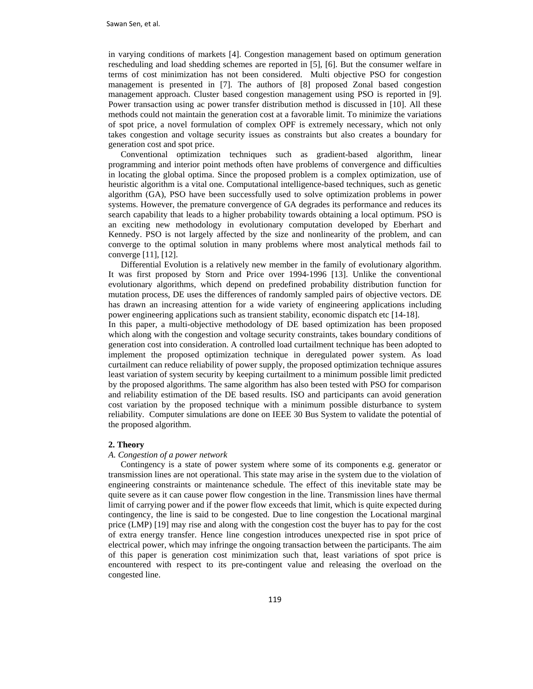in varying conditions of markets [4]. Congestion management based on optimum generation rescheduling and load shedding schemes are reported in [5], [6]. But the consumer welfare in terms of cost minimization has not been considered. Multi objective PSO for congestion management is presented in [7]. The authors of [8] proposed Zonal based congestion management approach. Cluster based congestion management using PSO is reported in [9]. Power transaction using ac power transfer distribution method is discussed in [10]. All these methods could not maintain the generation cost at a favorable limit. To minimize the variations of spot price, a novel formulation of complex OPF is extremely necessary, which not only takes congestion and voltage security issues as constraints but also creates a boundary for generation cost and spot price.

 Conventional optimization techniques such as gradient-based algorithm, linear programming and interior point methods often have problems of convergence and difficulties in locating the global optima. Since the proposed problem is a complex optimization, use of heuristic algorithm is a vital one. Computational intelligence-based techniques, such as genetic algorithm (GA), PSO have been successfully used to solve optimization problems in power systems. However, the premature convergence of GA degrades its performance and reduces its search capability that leads to a higher probability towards obtaining a local optimum. PSO is an exciting new methodology in evolutionary computation developed by Eberhart and Kennedy. PSO is not largely affected by the size and nonlinearity of the problem, and can converge to the optimal solution in many problems where most analytical methods fail to converge [11], [12].

 Differential Evolution is a relatively new member in the family of evolutionary algorithm. It was first proposed by Storn and Price over 1994-1996 [13]. Unlike the conventional evolutionary algorithms, which depend on predefined probability distribution function for mutation process, DE uses the differences of randomly sampled pairs of objective vectors. DE has drawn an increasing attention for a wide variety of engineering applications including power engineering applications such as transient stability, economic dispatch etc [14-18].

In this paper, a multi-objective methodology of DE based optimization has been proposed which along with the congestion and voltage security constraints, takes boundary conditions of generation cost into consideration. A controlled load curtailment technique has been adopted to implement the proposed optimization technique in deregulated power system. As load curtailment can reduce reliability of power supply, the proposed optimization technique assures least variation of system security by keeping curtailment to a minimum possible limit predicted by the proposed algorithms. The same algorithm has also been tested with PSO for comparison and reliability estimation of the DE based results. ISO and participants can avoid generation cost variation by the proposed technique with a minimum possible disturbance to system reliability. Computer simulations are done on IEEE 30 Bus System to validate the potential of the proposed algorithm.

# **2. Theory**

#### *A. Congestion of a power network*

 Contingency is a state of power system where some of its components e.g. generator or transmission lines are not operational. This state may arise in the system due to the violation of engineering constraints or maintenance schedule. The effect of this inevitable state may be quite severe as it can cause power flow congestion in the line. Transmission lines have thermal limit of carrying power and if the power flow exceeds that limit, which is quite expected during contingency, the line is said to be congested. Due to line congestion the Locational marginal price (LMP) [19] may rise and along with the congestion cost the buyer has to pay for the cost of extra energy transfer. Hence line congestion introduces unexpected rise in spot price of electrical power, which may infringe the ongoing transaction between the participants. The aim of this paper is generation cost minimization such that, least variations of spot price is encountered with respect to its pre-contingent value and releasing the overload on the congested line.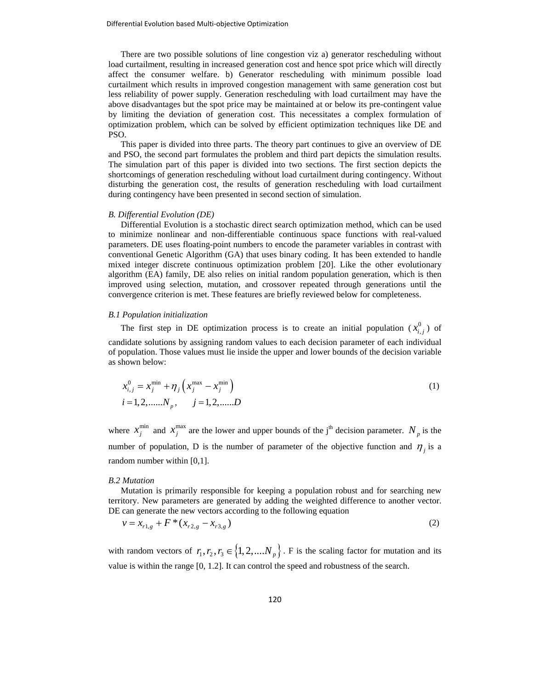There are two possible solutions of line congestion viz a) generator rescheduling without load curtailment, resulting in increased generation cost and hence spot price which will directly affect the consumer welfare. b) Generator rescheduling with minimum possible load curtailment which results in improved congestion management with same generation cost but less reliability of power supply. Generation rescheduling with load curtailment may have the above disadvantages but the spot price may be maintained at or below its pre-contingent value by limiting the deviation of generation cost. This necessitates a complex formulation of optimization problem, which can be solved by efficient optimization techniques like DE and PSO.

 This paper is divided into three parts. The theory part continues to give an overview of DE and PSO, the second part formulates the problem and third part depicts the simulation results. The simulation part of this paper is divided into two sections. The first section depicts the shortcomings of generation rescheduling without load curtailment during contingency. Without disturbing the generation cost, the results of generation rescheduling with load curtailment during contingency have been presented in second section of simulation.

## *B. Differential Evolution (DE)*

 Differential Evolution is a stochastic direct search optimization method, which can be used to minimize nonlinear and non-differentiable continuous space functions with real-valued parameters. DE uses floating-point numbers to encode the parameter variables in contrast with conventional Genetic Algorithm (GA) that uses binary coding. It has been extended to handle mixed integer discrete continuous optimization problem [20]. Like the other evolutionary algorithm (EA) family, DE also relies on initial random population generation, which is then improved using selection, mutation, and crossover repeated through generations until the convergence criterion is met. These features are briefly reviewed below for completeness.

#### *B.1 Population initialization*

The first step in DE optimization process is to create an initial population  $(x_{i,j}^0)$  of candidate solutions by assigning random values to each decision parameter of each individual of population. Those values must lie inside the upper and lower bounds of the decision variable as shown below:

$$
x_{i,j}^0 = x_j^{\min} + \eta_j \left( x_j^{\max} - x_j^{\min} \right)
$$
  
\n $i = 1, 2, \dots, N_p, \quad j = 1, 2, \dots, D$  (1)

where  $x_j^{\text{min}}$  and  $x_j^{\text{max}}$  are the lower and upper bounds of the j<sup>th</sup> decision parameter.  $N_p$  is the number of population, D is the number of parameter of the objective function and  $\eta_i$  is a random number within [0,1].

### *B.2 Mutation*

 Mutation is primarily responsible for keeping a population robust and for searching new territory. New parameters are generated by adding the weighted difference to another vector. DE can generate the new vectors according to the following equation

$$
v = x_{r1,g} + F^*(x_{r2,g} - x_{r3,g})
$$
 (2)

with random vectors of  $r_1, r_2, r_3 \in \{1, 2, ..., N_p\}$ . F is the scaling factor for mutation and its value is within the range [0, 1.2]. It can control the speed and robustness of the search.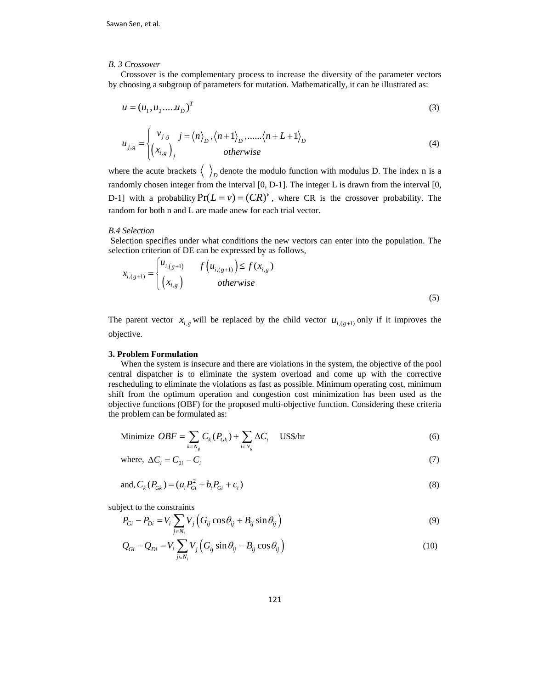#### *B. 3 Crossover*

 Crossover is the complementary process to increase the diversity of the parameter vectors by choosing a subgroup of parameters for mutation. Mathematically, it can be illustrated as:

$$
u = (u_1, u_2, \dots, u_D)^T
$$
\n<sup>(3)</sup>

$$
u_{j,g} = \begin{cases} v_{j,g} & j = \langle n \rangle_D, \langle n+1 \rangle_D, \dots, \langle n+L+1 \rangle_D \\ \left(x_{i,g}\right)_j & otherwise \end{cases}
$$
(4)

where the acute brackets  $\langle \ \rangle$ <sub>D</sub> denote the modulo function with modulus D. The index n is a randomly chosen integer from the interval [0, D-1]. The integer L is drawn from the interval [0, D-1] with a probability  $Pr(L = v) = (CR)^{v}$ , where CR is the crossover probability. The random for both n and L are made anew for each trial vector.

#### *B.4 Selection*

 Selection specifies under what conditions the new vectors can enter into the population. The selection criterion of DE can be expressed by as follows,

$$
x_{i,(g+1)} = \begin{cases} u_{i,(g+1)} & f\left(u_{i,(g+1)}\right) \le f(x_{i,g}) \\ \left(x_{i,g}\right) & otherwise \end{cases}
$$
\n(5)

The parent vector  $x_{i,g}$  will be replaced by the child vector  $u_{i,(g+1)}$  only if it improves the objective.

# **3. Problem Formulation**

 When the system is insecure and there are violations in the system, the objective of the pool central dispatcher is to eliminate the system overload and come up with the corrective rescheduling to eliminate the violations as fast as possible. Minimum operating cost, minimum shift from the optimum operation and congestion cost minimization has been used as the objective functions (OBF) for the proposed multi-objective function. Considering these criteria the problem can be formulated as:

Minimize 
$$
OBF = \sum_{k \in N_g} C_k (P_{Gk}) + \sum_{i \in N_g} \Delta C_i
$$
 US\$/hr\n
$$
(6)
$$

where, 
$$
\Delta C_i = C_{0i} - C_i
$$
 (7)

and, 
$$
C_k(P_{Gk}) = (a_i P_{Gi}^2 + b_i P_{Gi} + c_i)
$$
 (8)

subject to the constraints

$$
P_{Gi} - P_{Di} = V_i \sum_{j \in N_i} V_j \left( G_{ij} \cos \theta_{ij} + B_{ij} \sin \theta_{ij} \right)
$$
\n
$$
\tag{9}
$$

$$
Q_{Gi} - Q_{Di} = V_i \sum_{j \in N_i} V_j \left( G_{ij} \sin \theta_{ij} - B_{ij} \cos \theta_{ij} \right)
$$
 (10)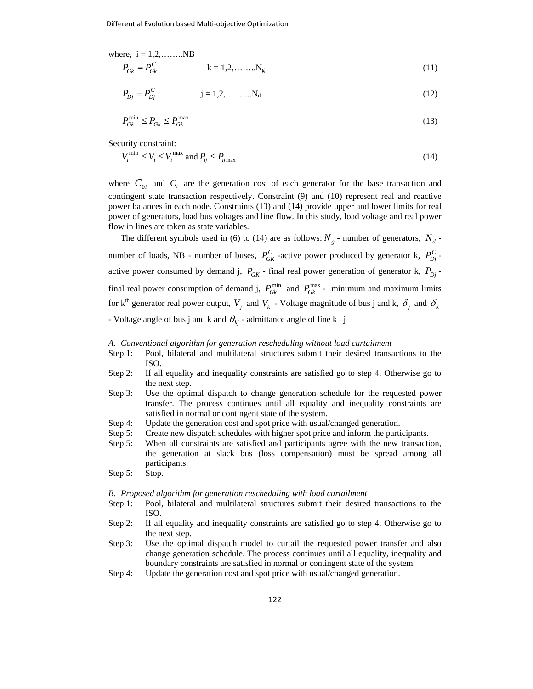where, i = 1,2,........NB  
\n
$$
P_{Gk} = P_{Gk}^{C}
$$
\n
$$
k = 1,2,........Ng
$$
\n(11)

$$
P_{Dj} = P_{Dj}^C \t j = 1, 2, \dots, N_d \t (12)
$$

$$
P_{Gk}^{\min} \le P_{Gk} \le P_{Gk}^{\max} \tag{13}
$$

Security constraint:

$$
V_i^{\min} \le V_i \le V_i^{\max} \text{ and } P_{ij} \le P_{ij\max}
$$
\n<sup>(14)</sup>

where  $C_{0i}$  and  $C_i$  are the generation cost of each generator for the base transaction and contingent state transaction respectively. Constraint (9) and (10) represent real and reactive power balances in each node. Constraints (13) and (14) provide upper and lower limits for real power of generators, load bus voltages and line flow. In this study, load voltage and real power flow in lines are taken as state variables.

The different symbols used in (6) to (14) are as follows:  $N_g$  - number of generators,  $N_d$  number of loads, NB - number of buses,  $P_{GK}^C$  -active power produced by generator k,  $P_{Dj}^C$  active power consumed by demand j,  $P_{GK}$  - final real power generation of generator k,  $P_{D}$  final real power consumption of demand j,  $P_{Gk}^{min}$  and  $P_{Gk}^{max}$  - minimum and maximum limits for k<sup>th</sup> generator real power output,  $V_i$  and  $V_k$  - Voltage magnitude of bus j and k,  $\delta_i$  and  $\delta_k$ - Voltage angle of bus j and k and  $\theta_{ki}$  - admittance angle of line k -j

#### *A. Conventional algorithm for generation rescheduling without load curtailment*

- Step 1: Pool, bilateral and multilateral structures submit their desired transactions to the ISO.
- Step 2: If all equality and inequality constraints are satisfied go to step 4. Otherwise go to the next step.
- Step 3: Use the optimal dispatch to change generation schedule for the requested power transfer. The process continues until all equality and inequality constraints are satisfied in normal or contingent state of the system.
- Step 4: Update the generation cost and spot price with usual/changed generation.
- Step 5: Create new dispatch schedules with higher spot price and inform the participants.
- Step 5: When all constraints are satisfied and participants agree with the new transaction, the generation at slack bus (loss compensation) must be spread among all participants.
- Step 5: Stop.

#### *B. Proposed algorithm for generation rescheduling with load curtailment*

- Step 1: Pool, bilateral and multilateral structures submit their desired transactions to the ISO.
- Step 2: If all equality and inequality constraints are satisfied go to step 4. Otherwise go to the next step.
- Step 3: Use the optimal dispatch model to curtail the requested power transfer and also change generation schedule. The process continues until all equality, inequality and boundary constraints are satisfied in normal or contingent state of the system.
- Step 4: Update the generation cost and spot price with usual/changed generation.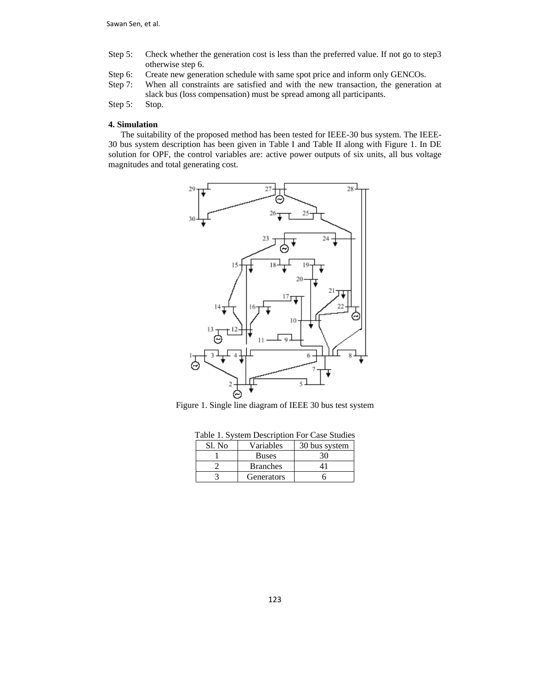- Step 5: Check whether the generation cost is less than the preferred value. If not go to step3 otherwise step 6.
- Step 6: Create new generation schedule with same spot price and inform only GENCOs.
- Step 7: When all constraints are satisfied and with the new transaction, the generation at slack bus (loss compensation) must be spread among all participants.

Step 5: Stop.

# **4. Simulation**

 The suitability of the proposed method has been tested for IEEE-30 bus system. The IEEE-30 bus system description has been given in Table I and Table II along with Figure 1. In DE solution for OPF, the control variables are: active power outputs of six units, all bus voltage magnitudes and total generating cost.





| Table 1. System Description For Case Studies |                 |               |  |  |  |  |  |  |  |
|----------------------------------------------|-----------------|---------------|--|--|--|--|--|--|--|
| Sl. No                                       | Variables       | 30 bus system |  |  |  |  |  |  |  |
|                                              | <b>Buses</b>    | 30            |  |  |  |  |  |  |  |
|                                              | <b>Branches</b> |               |  |  |  |  |  |  |  |
|                                              | Generators      |               |  |  |  |  |  |  |  |

Table 1. System Description For Case Studies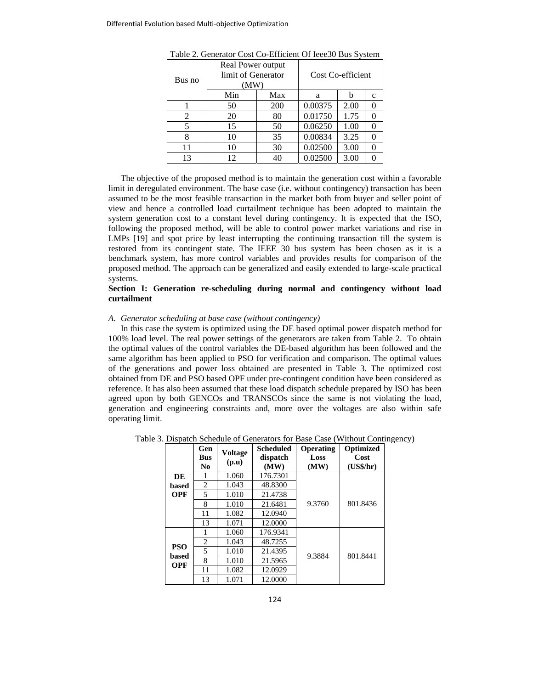| Bus no | Real Power output<br>limit of Generator<br>(MW) | Cost Co-efficient |         |      |              |
|--------|-------------------------------------------------|-------------------|---------|------|--------------|
|        | Min                                             | Max               | a       |      | $\mathbf{c}$ |
|        | 50                                              | 200               | 0.00375 | 2.00 |              |
| 2      | 20                                              | 80                | 0.01750 | 1.75 |              |
| 5      | 15                                              | 50                | 0.06250 | 1.00 |              |
| 8      | 10                                              | 35                | 0.00834 | 3.25 |              |
| 11     | 10                                              | 30                | 0.02500 | 3.00 |              |
| 13     | 12                                              | 40                | 0.02500 | 3.00 |              |

Table 2. Generator Cost Co-Efficient Of Ieee30 Bus System

 The objective of the proposed method is to maintain the generation cost within a favorable limit in deregulated environment. The base case (i.e. without contingency) transaction has been assumed to be the most feasible transaction in the market both from buyer and seller point of view and hence a controlled load curtailment technique has been adopted to maintain the system generation cost to a constant level during contingency. It is expected that the ISO, following the proposed method, will be able to control power market variations and rise in LMPs [19] and spot price by least interrupting the continuing transaction till the system is restored from its contingent state. The IEEE 30 bus system has been chosen as it is a benchmark system, has more control variables and provides results for comparison of the proposed method. The approach can be generalized and easily extended to large-scale practical systems.

## **Section I: Generation re-scheduling during normal and contingency without load curtailment**

## *A. Generator scheduling at base case (without contingency)*

 In this case the system is optimized using the DE based optimal power dispatch method for 100% load level. The real power settings of the generators are taken from Table 2. To obtain the optimal values of the control variables the DE-based algorithm has been followed and the same algorithm has been applied to PSO for verification and comparison. The optimal values of the generations and power loss obtained are presented in Table 3. The optimized cost obtained from DE and PSO based OPF under pre-contingent condition have been considered as reference. It has also been assumed that these load dispatch schedule prepared by ISO has been agreed upon by both GENCOs and TRANSCOs since the same is not violating the load, generation and engineering constraints and, more over the voltages are also within safe operating limit.

|                     | Gen<br><b>Bus</b><br>N <sub>0</sub> | <b>Voltage</b><br>(p.u) | Scheduled<br>dispatch<br>(MW) | Operating<br>Loss<br>(MW) | Optimized<br>Cost<br>(US\$/hr) |  |
|---------------------|-------------------------------------|-------------------------|-------------------------------|---------------------------|--------------------------------|--|
| DE                  | 1                                   | 1.060                   | 176.7301                      |                           |                                |  |
| based               | 2                                   | 1.043                   | 48.8300                       |                           |                                |  |
| <b>OPF</b>          | 5                                   | 1.010                   | 21.4738                       |                           |                                |  |
|                     | 8                                   | 1.010                   | 21.6481                       | 9.3760                    | 801.8436                       |  |
|                     | 11                                  | 1.082                   | 12.0940                       |                           |                                |  |
|                     | 13                                  | 1.071                   | 12.0000                       |                           |                                |  |
|                     | 1                                   | 1.060                   | 176.9341                      |                           |                                |  |
|                     | 2                                   | 1.043                   | 48.7255                       |                           |                                |  |
| <b>PSO</b>          | 5                                   | 1.010                   | 21.4395                       | 9.3884                    | 801.8441                       |  |
| based<br><b>OPF</b> | 8                                   | 1.010                   | 21.5965                       |                           |                                |  |
|                     | 11                                  | 1.082                   | 12.0929                       |                           |                                |  |
|                     | 13                                  | 1.071                   | 12.0000                       |                           |                                |  |

Table 3. Dispatch Schedule of Generators for Base Case (Without Contingency)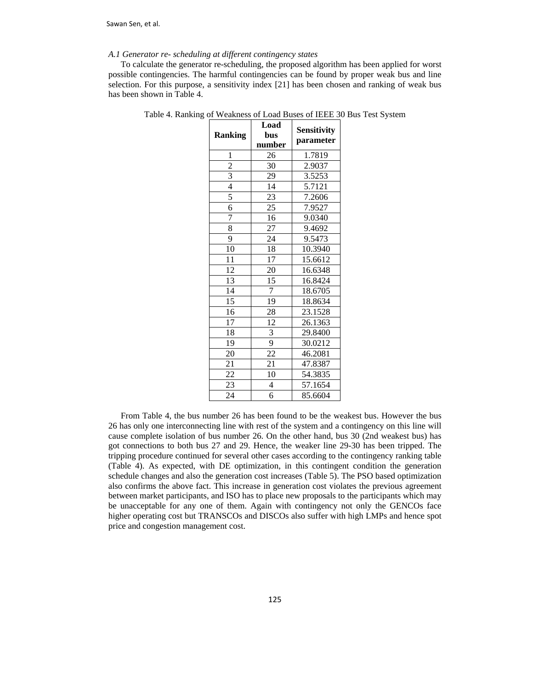Sawan Sen, et al.

#### *A.1 Generator re- scheduling at different contingency states*

 To calculate the generator re-scheduling, the proposed algorithm has been applied for worst possible contingencies. The harmful contingencies can be found by proper weak bus and line selection. For this purpose, a sensitivity index [21] has been chosen and ranking of weak bus has been shown in Table 4.

| <b>Ranking</b> | Load<br>bus<br>number | <b>Sensitivity</b><br>parameter |
|----------------|-----------------------|---------------------------------|
| 1              | 26                    | 1.7819                          |
| $\overline{c}$ | 30                    | 2.9037                          |
| $\overline{3}$ | 29                    | 3.5253                          |
| $\overline{4}$ | 14                    | 5.7121                          |
| 5              | 23                    | 7.2606                          |
| 6              | 25                    | 7.9527                          |
| 7              | 16                    | 9.0340                          |
| 8              | 27                    | 9.4692                          |
| 9              | 24                    | 9.5473                          |
| 10             | 18                    | 10.3940                         |
| 11             | 17                    | 15.6612                         |
| 12             | 20                    | 16.6348                         |
| 13             | 15                    | 16.8424                         |
| 14             | 7                     | 18.6705                         |
| 15             | 19                    | 18.8634                         |
| 16             | 28                    | 23.1528                         |
| 17             | 12                    | 26.1363                         |
| 18             | 3                     | 29.8400                         |
| 19             | 9                     | 30.0212                         |
| 20             | 22                    | 46.2081                         |
| 21             | 21                    | 47.8387                         |
| 22             | 10                    | 54.3835                         |
| 23             | $\overline{4}$        | 57.1654                         |
| 24             | 6                     | 85.6604                         |

Table 4. Ranking of Weakness of Load Buses of IEEE 30 Bus Test System

 From Table 4, the bus number 26 has been found to be the weakest bus. However the bus 26 has only one interconnecting line with rest of the system and a contingency on this line will cause complete isolation of bus number 26. On the other hand, bus 30 (2nd weakest bus) has got connections to both bus 27 and 29. Hence, the weaker line 29-30 has been tripped. The tripping procedure continued for several other cases according to the contingency ranking table (Table 4). As expected, with DE optimization, in this contingent condition the generation schedule changes and also the generation cost increases (Table 5). The PSO based optimization also confirms the above fact. This increase in generation cost violates the previous agreement between market participants, and ISO has to place new proposals to the participants which may be unacceptable for any one of them. Again with contingency not only the GENCOs face higher operating cost but TRANSCOs and DISCOs also suffer with high LMPs and hence spot price and congestion management cost.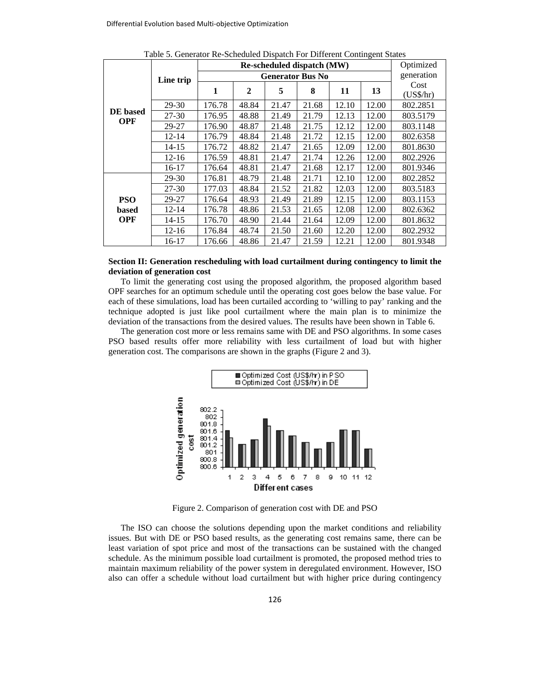|                        |           |                   |            |        | Re-scheduled dispatch (MW) |       |       | Optimized |
|------------------------|-----------|-------------------|------------|--------|----------------------------|-------|-------|-----------|
|                        | Line trip |                   | generation |        |                            |       |       |           |
|                        |           | 1<br>$\mathbf{2}$ |            | 5<br>8 |                            | 11    | 13    | Cost      |
|                        |           |                   |            |        |                            |       |       | (US\$/hr) |
|                        | 29-30     | 176.78            | 48.84      | 21.47  | 21.68                      | 12.10 | 12.00 | 802.2851  |
| DE based<br><b>OPF</b> | 27-30     | 176.95            | 48.88      | 21.49  | 21.79                      | 12.13 | 12.00 | 803.5179  |
|                        | 29-27     | 176.90            | 48.87      | 21.48  | 21.75                      | 12.12 | 12.00 | 803.1148  |
|                        | $12 - 14$ | 176.79            | 48.84      | 21.48  | 21.72                      | 12.15 | 12.00 | 802.6358  |
|                        | $14 - 15$ | 176.72            | 48.82      | 21.47  | 21.65                      | 12.09 | 12.00 | 801.8630  |
|                        | $12 - 16$ | 176.59            | 48.81      | 21.47  | 21.74                      | 12.26 | 12.00 | 802.2926  |
|                        | 16-17     | 176.64            | 48.81      | 21.47  | 21.68                      | 12.17 | 12.00 | 801.9346  |
|                        | 29-30     | 176.81            | 48.79      | 21.48  | 21.71                      | 12.10 | 12.00 | 802.2852  |
|                        | 27-30     | 177.03            | 48.84      | 21.52  | 21.82                      | 12.03 | 12.00 | 803.5183  |
| <b>PSO</b>             | 29-27     | 176.64            | 48.93      | 21.49  | 21.89                      | 12.15 | 12.00 | 803.1153  |
| based                  | $12 - 14$ | 176.78            | 48.86      | 21.53  | 21.65                      | 12.08 | 12.00 | 802.6362  |
| <b>OPF</b>             | 14-15     | 176.70            | 48.90      | 21.44  | 21.64                      | 12.09 | 12.00 | 801.8632  |
|                        | $12 - 16$ | 176.84            | 48.74      | 21.50  | 21.60                      | 12.20 | 12.00 | 802.2932  |
|                        | 16-17     | 176.66            | 48.86      | 21.47  | 21.59                      | 12.21 | 12.00 | 801.9348  |

Table 5. Generator Re-Scheduled Dispatch For Different Contingent States

# **Section II: Generation rescheduling with load curtailment during contingency to limit the deviation of generation cost**

 To limit the generating cost using the proposed algorithm, the proposed algorithm based OPF searches for an optimum schedule until the operating cost goes below the base value. For each of these simulations, load has been curtailed according to 'willing to pay' ranking and the technique adopted is just like pool curtailment where the main plan is to minimize the deviation of the transactions from the desired values. The results have been shown in Table 6.

 The generation cost more or less remains same with DE and PSO algorithms. In some cases PSO based results offer more reliability with less curtailment of load but with higher generation cost. The comparisons are shown in the graphs (Figure 2 and 3).



Figure 2. Comparison of generation cost with DE and PSO

 The ISO can choose the solutions depending upon the market conditions and reliability issues. But with DE or PSO based results, as the generating cost remains same, there can be least variation of spot price and most of the transactions can be sustained with the changed schedule. As the minimum possible load curtailment is promoted, the proposed method tries to maintain maximum reliability of the power system in deregulated environment. However, ISO also can offer a schedule without load curtailment but with higher price during contingency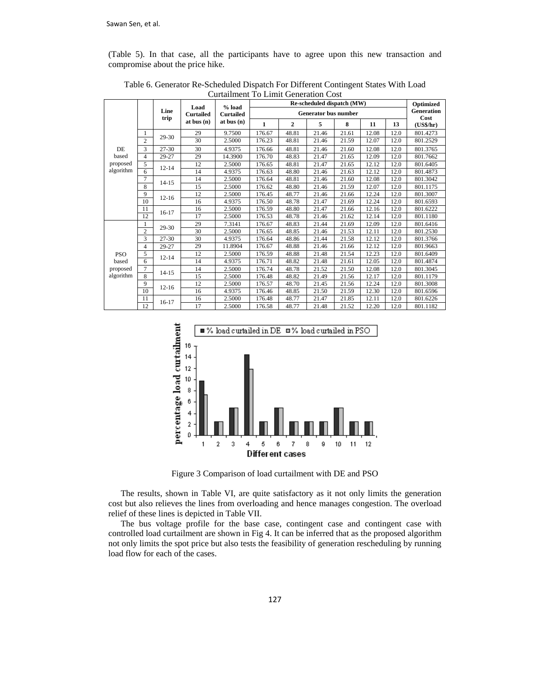(Table 5). In that case, all the participants have to agree upon this new transaction and compromise about the price hike.

| Load       |                |              | $%$ load         | Cartamment To Emmi Ocheration Cost<br>Re-scheduled dispatch (MW) |                             |              |       |       |       | Optimized |                           |
|------------|----------------|--------------|------------------|------------------------------------------------------------------|-----------------------------|--------------|-------|-------|-------|-----------|---------------------------|
|            |                | Line<br>trip | <b>Curtailed</b> | <b>Curtailed</b>                                                 | <b>Generator bus number</b> |              |       |       |       |           | <b>Generation</b><br>Cost |
|            |                |              | at bus $(n)$     | at bus $(n)$                                                     | 1                           | $\mathbf{2}$ | 5     | 8     | 11    | 13        | (US\$/hr)                 |
|            | 1              |              | 29               | 9.7500                                                           | 176.67                      | 48.81        | 21.46 | 21.61 | 12.08 | 12.0      | 801.4273                  |
|            | $\overline{c}$ | 29-30        | 30               | 2.5000                                                           | 176.23                      | 48.81        | 21.46 | 21.59 | 12.07 | 12.0      | 801.2529                  |
| DE         | 3              | 27-30        | 30               | 4.9375                                                           | 176.66                      | 48.81        | 21.46 | 21.60 | 12.08 | 12.0      | 801.3765                  |
| based      | 4              | 29-27        | 29               | 14.3900                                                          | 176.70                      | 48.83        | 21.47 | 21.65 | 12.09 | 12.0      | 801.7662                  |
| proposed   | 5              |              | 12               | 2.5000                                                           | 176.65                      | 48.81        | 21.47 | 21.65 | 12.12 | 12.0      | 801.6405                  |
| algorithm  | 6              | $12 - 14$    | 14               | 4.9375                                                           | 176.63                      | 48.80        | 21.46 | 21.63 | 12.12 | 12.0      | 801.4873                  |
|            | $\overline{7}$ | $14 - 15$    | 14               | 2.5000                                                           | 176.64                      | 48.81        | 21.46 | 21.60 | 12.08 | 12.0      | 801.3042                  |
|            | 8              |              | 15               | 2.5000                                                           | 176.62                      | 48.80        | 21.46 | 21.59 | 12.07 | 12.0      | 801.1175                  |
|            | 9              | $12 - 16$    | 12               | 2.5000                                                           | 176.45                      | 48.77        | 21.46 | 21.66 | 12.24 | 12.0      | 801.3007                  |
|            | 10             |              | 16               | 4.9375                                                           | 176.50                      | 48.78        | 21.47 | 21.69 | 12.24 | 12.0      | 801.6593                  |
|            | 11             | $16-17$      | 16               | 2.5000                                                           | 176.59                      | 48.80        | 21.47 | 21.66 | 12.16 | 12.0      | 801.6222                  |
|            | 12             |              | 17               | 2.5000                                                           | 176.53                      | 48.78        | 21.46 | 21.62 | 12.14 | 12.0      | 801.1180                  |
|            | 1              | 29-30        | 29               | 7.3141                                                           | 176.67                      | 48.83        | 21.44 | 21.69 | 12.09 | 12.0      | 801.6416                  |
|            | $\overline{c}$ |              | 30               | 2.5000                                                           | 176.65                      | 48.85        | 21.46 | 21.53 | 12.11 | 12.0      | 801.2530                  |
|            | 3              | 27-30        | 30               | 4.9375                                                           | 176.64                      | 48.86        | 21.44 | 21.58 | 12.12 | 12.0      | 801.3766                  |
|            | 4              | 29-27        | 29               | 11.8904                                                          | 176.67                      | 48.88        | 21.46 | 21.66 | 12.12 | 12.0      | 801.9663                  |
| <b>PSO</b> | 5              | $12 - 14$    | 12               | 2.5000                                                           | 176.59                      | 48.88        | 21.48 | 21.54 | 12.23 | 12.0      | 801.6409                  |
| based      | 6              |              | 14               | 4.9375                                                           | 176.71                      | 48.82        | 21.48 | 21.61 | 12.05 | 12.0      | 801.4874                  |
| proposed   | $\overline{7}$ | $14 - 15$    | 14               | 2.5000                                                           | 176.74                      | 48.78        | 21.52 | 21.50 | 12.08 | 12.0      | 801.3045                  |
| algorithm  | 8              |              | 15               | 2.5000                                                           | 176.48                      | 48.82        | 21.49 | 21.56 | 12.17 | 12.0      | 801.1179                  |
|            | 9              | $12 - 16$    | 12               | 2.5000                                                           | 176.57                      | 48.70        | 21.45 | 21.56 | 12.24 | 12.0      | 801.3008                  |
|            | 10             |              | 16               | 4.9375                                                           | 176.46                      | 48.85        | 21.50 | 21.59 | 12.30 | 12.0      | 801.6596                  |
|            | 11             | $16-17$      | 16               | 2.5000                                                           | 176.48                      | 48.77        | 21.47 | 21.85 | 12.11 | 12.0      | 801.6226                  |
|            | 12             |              | 17               | 2.5000                                                           | 176.58                      | 48.77        | 21.48 | 21.52 | 12.20 | 12.0      | 801.1182                  |

Table 6. Generator Re-Scheduled Dispatch For Different Contingent States With Load Curtailment To Limit Generation Cost



Figure 3 Comparison of load curtailment with DE and PSO

 The results, shown in Table VI, are quite satisfactory as it not only limits the generation cost but also relieves the lines from overloading and hence manages congestion. The overload relief of these lines is depicted in Table VII.

 The bus voltage profile for the base case, contingent case and contingent case with controlled load curtailment are shown in Fig 4. It can be inferred that as the proposed algorithm not only limits the spot price but also tests the feasibility of generation rescheduling by running load flow for each of the cases.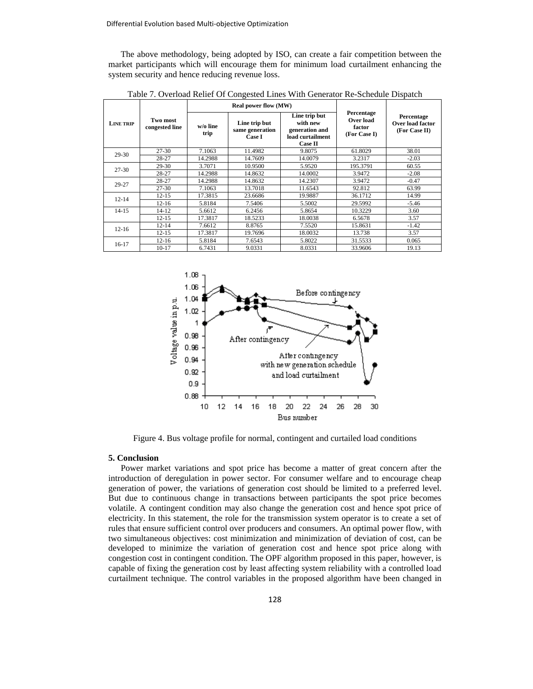The above methodology, being adopted by ISO, can create a fair competition between the market participants which will encourage them for minimum load curtailment enhancing the system security and hence reducing revenue loss.

|                  |                            |                  | <b>Real power flow (MW)</b>                |                                                                                   |                                                   |                                                 |  |
|------------------|----------------------------|------------------|--------------------------------------------|-----------------------------------------------------------------------------------|---------------------------------------------------|-------------------------------------------------|--|
| <b>LINE TRIP</b> | Two most<br>congested line | w/o line<br>trip | Line trip but<br>same generation<br>Case I | Line trip but<br>with new<br>generation and<br>load curtailment<br><b>Case II</b> | Percentage<br>Over load<br>factor<br>(For Case I) | Percentage<br>Over load factor<br>(For Case II) |  |
| $29 - 30$        | $27 - 30$                  | 7.1063           | 11.4982                                    | 9.8075                                                                            | 61.8029                                           | 38.01                                           |  |
|                  | 28-27                      | 14.2988          | 14.7609                                    | 14.0079                                                                           | 3.2317                                            | $-2.03$                                         |  |
| $27 - 30$        | 29-30                      | 3.7071           | 10.9500                                    | 5.9520                                                                            | 195.3791                                          | 60.55                                           |  |
|                  | 28-27                      | 14.2988          | 14.8632                                    | 14.0002                                                                           | 3.9472                                            | $-2.08$                                         |  |
| 29-27            | 28-27                      | 14.2988          | 14.8632                                    | 14.2307                                                                           | 3.9472                                            | $-0.47$                                         |  |
|                  | $27 - 30$                  | 7.1063           | 13.7018                                    | 11.6543                                                                           | 92.812                                            | 63.99                                           |  |
| $12 - 14$        | $12 - 15$                  | 17.3815          | 23.6686                                    | 19.9887                                                                           | 36.1712                                           | 14.99                                           |  |
|                  | $12 - 16$                  | 5.8184           | 7.5406                                     | 5.5002                                                                            | 29.5992                                           | $-5.46$                                         |  |
| $14 - 15$        | $14 - 12$                  | 5.6612           | 6.2456                                     | 5.8654                                                                            | 10.3229                                           | 3.60                                            |  |
|                  | $12 - 15$                  | 17.3817          | 18.5233                                    | 18.0038                                                                           | 6.5678                                            | 3.57                                            |  |
| $12 - 16$        | $12 - 14$                  | 7.6612           | 8.8765                                     | 7.5520                                                                            | 15.8631                                           | $-1.42$                                         |  |
|                  | $12 - 15$                  | 17.3817          | 19.7696                                    | 18.0032                                                                           | 13.738                                            | 3.57                                            |  |
| $16-17$          | $12 - 16$                  | 5.8184           | 7.6543                                     | 5.8022                                                                            | 31.5533                                           | 0.065                                           |  |
|                  | $10 - 17$                  | 6.7431           | 9.0331                                     | 8.0331                                                                            | 33.9606                                           | 19.13                                           |  |

Table 7. Overload Relief Of Congested Lines With Generator Re-Schedule Dispatch



Figure 4. Bus voltage profile for normal, contingent and curtailed load conditions

#### **5. Conclusion**

 Power market variations and spot price has become a matter of great concern after the introduction of deregulation in power sector. For consumer welfare and to encourage cheap generation of power, the variations of generation cost should be limited to a preferred level. But due to continuous change in transactions between participants the spot price becomes volatile. A contingent condition may also change the generation cost and hence spot price of electricity. In this statement, the role for the transmission system operator is to create a set of rules that ensure sufficient control over producers and consumers. An optimal power flow, with two simultaneous objectives: cost minimization and minimization of deviation of cost, can be developed to minimize the variation of generation cost and hence spot price along with congestion cost in contingent condition. The OPF algorithm proposed in this paper, however, is capable of fixing the generation cost by least affecting system reliability with a controlled load curtailment technique. The control variables in the proposed algorithm have been changed in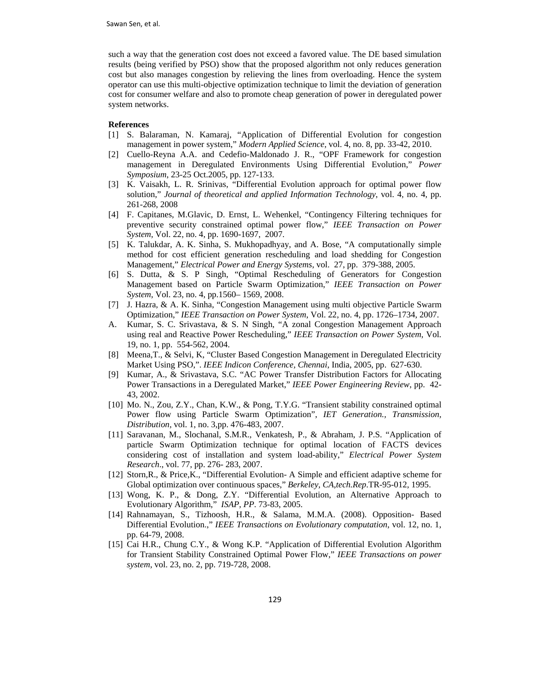such a way that the generation cost does not exceed a favored value. The DE based simulation results (being verified by PSO) show that the proposed algorithm not only reduces generation cost but also manages congestion by relieving the lines from overloading. Hence the system operator can use this multi-objective optimization technique to limit the deviation of generation cost for consumer welfare and also to promote cheap generation of power in deregulated power system networks.

# **References**

- [1] S. Balaraman, N. Kamaraj, "Application of Differential Evolution for congestion management in power system," *Modern Applied Science*, vol. 4, no. 8, pp. 33-42, 2010.
- [2] Cuello-Reyna A.A. and Cedefio-Maldonado J. R., "OPF Framework for congestion management in Deregulated Environments Using Differential Evolution," *Power Symposium*, 23-25 Oct.2005, pp. 127-133.
- [3] K. Vaisakh, L. R. Srinivas, "Differential Evolution approach for optimal power flow solution," *Journal of theoretical and applied Information Technology*, vol. 4, no. 4, pp. 261-268, 2008
- [4] F. Capitanes, M.Glavic, D. Ernst, L. Wehenkel, "Contingency Filtering techniques for preventive security constrained optimal power flow," *IEEE Transaction on Power System*, Vol. 22, no. 4, pp. 1690-1697, 2007.
- [5] K. Talukdar, A. K. Sinha, S. Mukhopadhyay, and A. Bose, "A computationally simple method for cost efficient generation rescheduling and load shedding for Congestion Management," *Electrical Power and Energy Systems*, vol. 27, pp. 379-388, 2005.
- [6] S. Dutta, & S. P Singh, "Optimal Rescheduling of Generators for Congestion Management based on Particle Swarm Optimization," *IEEE Transaction on Power System*, Vol. 23, no. 4, pp.1560– 1569, 2008.
- [7] J. Hazra, & A. K. Sinha, "Congestion Management using multi objective Particle Swarm Optimization," *IEEE Transaction on Power System*, Vol. 22, no. 4, pp. 1726–1734, 2007.
- A. Kumar, S. C. Srivastava, & S. N Singh, "A zonal Congestion Management Approach using real and Reactive Power Rescheduling," *IEEE Transaction on Power System*, Vol. 19, no. 1, pp. 554-562, 2004.
- [8] Meena,T., & Selvi, K, "Cluster Based Congestion Management in Deregulated Electricity Market Using PSO,". *IEEE Indicon Conference, Chennai*, India, 2005, pp. 627-630.
- [9] Kumar, A., & Srivastava, S.C. "AC Power Transfer Distribution Factors for Allocating Power Transactions in a Deregulated Market," *IEEE Power Engineering Review*, pp. 42- 43, 2002.
- [10] Mo. N., Zou, Z.Y., Chan, K.W., & Pong, T.Y.G. "Transient stability constrained optimal Power flow using Particle Swarm Optimization", *IET Generation., Transmission, Distribution*, vol. 1, no. 3,pp. 476-483, 2007.
- [11] Saravanan, M., Slochanal, S.M.R., Venkatesh, P., & Abraham, J. P.S. "Application of particle Swarm Optimization technique for optimal location of FACTS devices considering cost of installation and system load-ability," *Electrical Power System Research*., vol. 77, pp. 276- 283, 2007.
- [12] Storn,R., & Price,K., "Differential Evolution- A Simple and efficient adaptive scheme for Global optimization over continuous spaces," *Berkeley, CA,tech.Rep*.TR-95-012, 1995.
- [13] Wong, K. P., & Dong, Z.Y. "Differential Evolution, an Alternative Approach to Evolutionary Algorithm," *ISAP, PP*. 73-83, 2005.
- [14] Rahnamayan, S., Tizhoosh, H.R., & Salama, M.M.A. (2008). Opposition- Based Differential Evolution.," *IEEE Transactions on Evolutionary computation*, vol. 12, no. 1, pp. 64-79, 2008.
- [15] Cai H.R., Chung C.Y., & Wong K.P. "Application of Differential Evolution Algorithm for Transient Stability Constrained Optimal Power Flow," *IEEE Transactions on power system*, vol. 23, no. 2, pp. 719-728, 2008.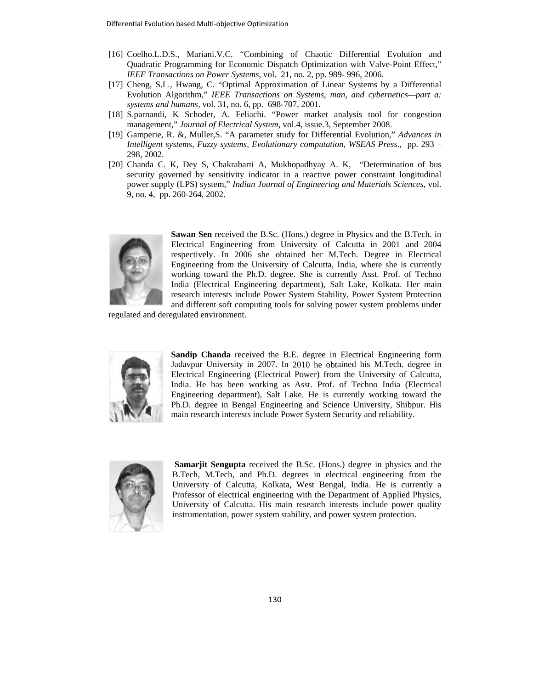- [16] Coelho.L.D.S., Mariani.V.C. "Combining of Chaotic Differential Evolution and Quadratic Programming for Economic Dispatch Optimization with Valve-Point Effect," *IEEE Transactions on Power Systems, vol.* 21, no. 2, pp. 989- 996, 2006. d"<br>al
- [17] Cheng, S.L., Hwang, C. "Optimal Approximation of Linear Systems by a Differential Evolution Algorithm," IEEE Transactions on Systems, man, and cybernetics—part a: systems and humans, vol. 31, no. 6, pp. 698-707, 2001.
- [18] S.parnandi, K Schoder, A. Feliachi. "Power market analysis tool for congestion management," Journal of Electrical System, vol.4, issue.3, September 2008.
- [19] Gamperie, R. &, Muller, S. "A parameter study for Differential Evolution," Advances in *Intelligent systems, Fuzzy systems, Evolutionary computation, WSEAS Press., pp. 293 –* 298, , 2002.
- [20] Chanda C. K, Dey S, Chakrabarti A, Mukhopadhyay A. K, "Determination of bus security governed by sensitivity indicator in a reactive power constraint longitudinal power supply (LPS) system," *Indian Journal of Engineering and Materials Sciences*, vol. 9, no. 4, pp. 260-264, 2002.



Sawan Sen received the B.Sc. (Hons.) degree in Physics and the B.Tech. in Electrical Engineering from University of Calcutta in 2001 and 2004 respectively. In 2006 she obtained her M.Tech. Degree in Electrical Engineering from the University of Calcutta, India, where she is currently working toward the Ph.D. degree. She is currently Asst. Prof. of Techno India (Electrical Engineering department), Salt Lake, Kolkata. Her main research interests include Power System Stability, Power System Protection and different soft computing tools for solving power system problems under College that the control is the control of the state of the state of the state of the state in the control of the state of the state of the state of the state of the state of the state of the state of the state of the sta

regulated and deregulated environment.



Sandip Chanda received the B.E. degree in Electrical Engineering form Jadavpur University in 2007. In 2010 he obtained his M.Tech. degree in Electrical Engineering (Electrical Power) from the University of Calcutta, India. He has been working as Asst. Prof. of Techno India (Electrical Engineering department), Salt Lake. He is currently working toward the Ph.D. degree in Bengal Engineering and Science University, Shibpur. His main research interests include Power System Security and reliability.



**Samarjit Sengupta** received the B.Sc. (Hons.) degree in physics and the B.Tech, M.Tech, and Ph.D. degrees in electrical engineering from the University of Calcutta, Kolkata, West Bengal, India. He is currently a Professor of electrical engineering with the Department of Applied Physics, University of Calcutta. His main research interests include power quality instrumentation, power system stability, and power system protection.